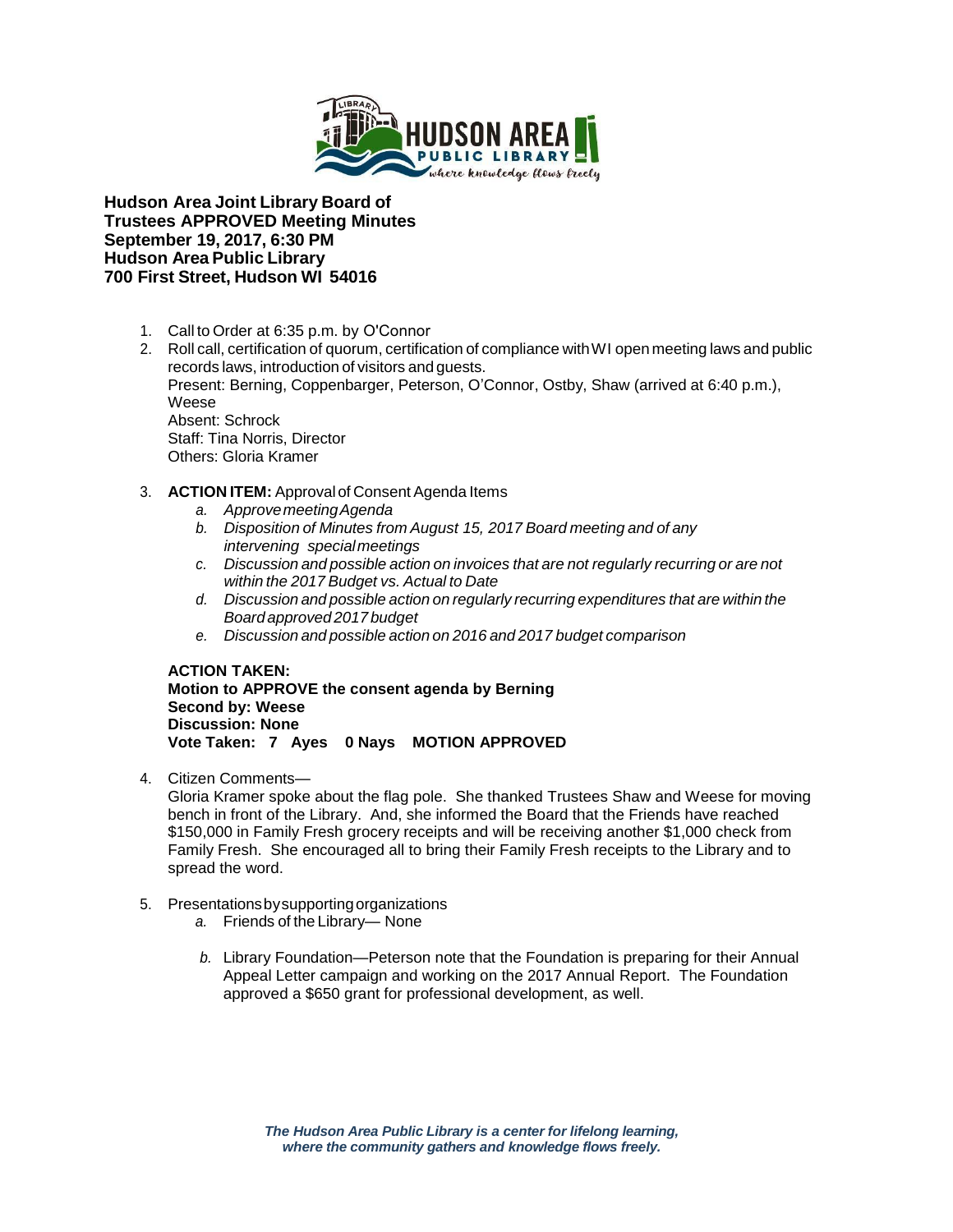

**Hudson Area Joint Library Board of Trustees APPROVED Meeting Minutes September 19, 2017, 6:30 PM Hudson Area Public Library 700 First Street, Hudson WI 54016**

- 1. Call to Order at 6:35 p.m. by O'Connor
- 2. Roll call, certification of quorum, certification of compliance withWI open meeting laws and public records laws, introduction of visitors and guests. Present: Berning, Coppenbarger, Peterson, O'Connor, Ostby, Shaw (arrived at 6:40 p.m.), Weese Absent: Schrock Staff: Tina Norris, Director Others: Gloria Kramer
- 3. **ACTION ITEM:** Approval of Consent Agenda Items
	- *a. ApprovemeetingAgenda*
	- *b. Disposition of Minutes from August 15, 2017 Board meeting and of any intervening special meetings*
	- *c. Discussion and possible action on invoices that are not regularly recurring or are not within the 2017 Budget vs. Actual to Date*
	- *d. Discussion and possible action on regularly recurring expenditures that are within the Board approved 2017 budget*
	- *e. Discussion and possible action on 2016 and 2017 budget comparison*

**ACTION TAKEN: Motion to APPROVE the consent agenda by Berning Second by: Weese Discussion: None Vote Taken: 7 Ayes 0 Nays MOTION APPROVED**

4. Citizen Comments—

Gloria Kramer spoke about the flag pole. She thanked Trustees Shaw and Weese for moving bench in front of the Library. And, she informed the Board that the Friends have reached \$150,000 in Family Fresh grocery receipts and will be receiving another \$1,000 check from Family Fresh. She encouraged all to bring their Family Fresh receipts to the Library and to spread the word.

- 5. Presentationsbysupportingorganizations
	- *a.* Friends of the Library— None
	- *b.* Library Foundation—Peterson note that the Foundation is preparing for their Annual Appeal Letter campaign and working on the 2017 Annual Report. The Foundation approved a \$650 grant for professional development, as well.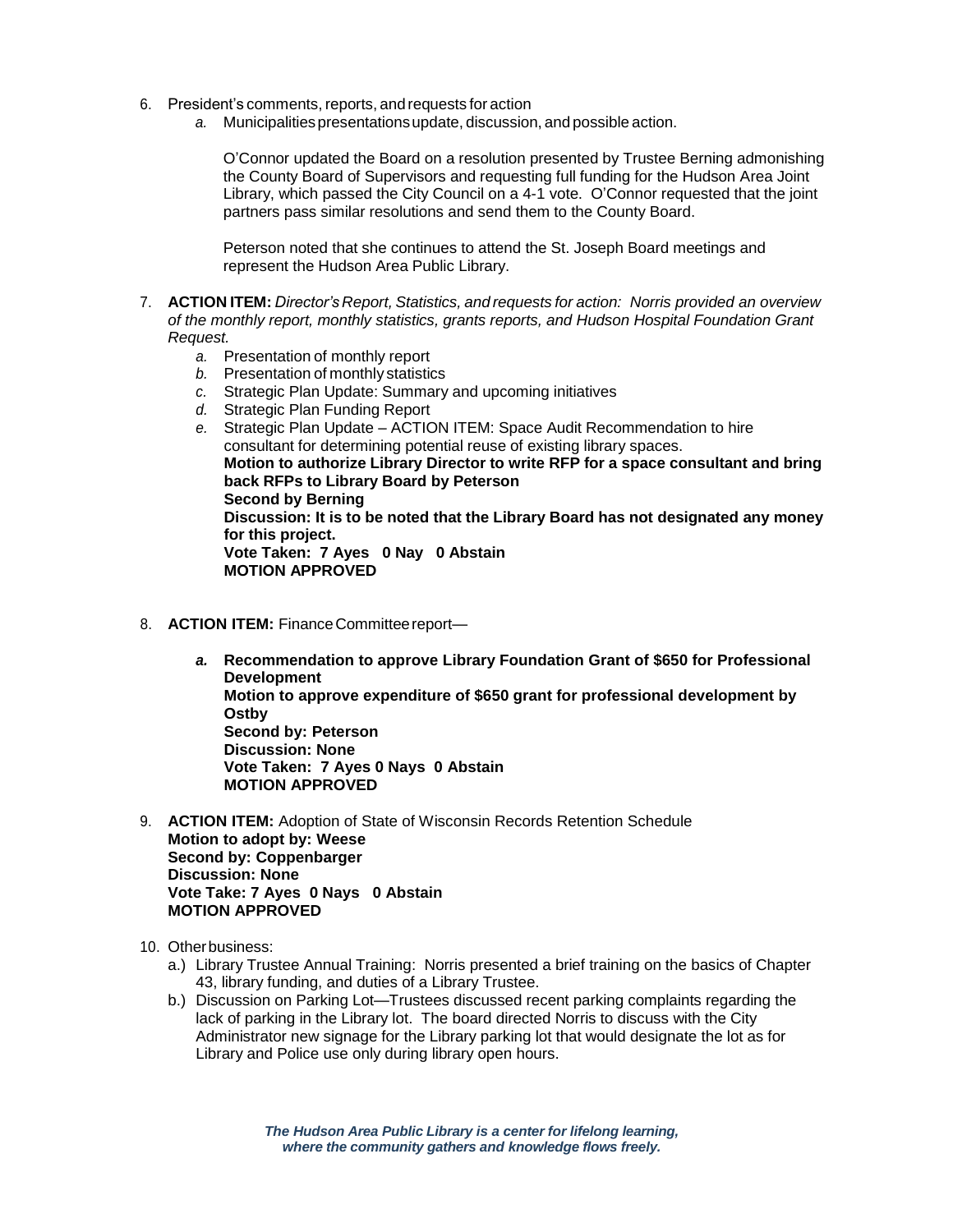- 6. President's comments,reports, and requests for action
	- *a.* Municipalitiespresentationsupdate, discussion, and possible action.

O'Connor updated the Board on a resolution presented by Trustee Berning admonishing the County Board of Supervisors and requesting full funding for the Hudson Area Joint Library, which passed the City Council on a 4-1 vote. O'Connor requested that the joint partners pass similar resolutions and send them to the County Board.

Peterson noted that she continues to attend the St. Joseph Board meetings and represent the Hudson Area Public Library.

- 7. **ACTION ITEM:** *Director's Report, Statistics, and requests for action: Norris provided an overview of the monthly report, monthly statistics, grants reports, and Hudson Hospital Foundation Grant Request.* 
	- *a.* Presentation of monthly report
	- *b.* Presentation of monthly statistics
	- *c.* Strategic Plan Update: Summary and upcoming initiatives
	- *d.* Strategic Plan Funding Report
	- *e.* Strategic Plan Update ACTION ITEM: Space Audit Recommendation to hire consultant for determining potential reuse of existing library spaces. **Motion to authorize Library Director to write RFP for a space consultant and bring back RFPs to Library Board by Peterson Second by Berning Discussion: It is to be noted that the Library Board has not designated any money for this project. Vote Taken: 7 Ayes 0 Nay 0 Abstain MOTION APPROVED**
- 8. **ACTION ITEM:** Finance Committee report
	- *a.* **Recommendation to approve Library Foundation Grant of \$650 for Professional Development Motion to approve expenditure of \$650 grant for professional development by Ostby Second by: Peterson Discussion: None Vote Taken: 7 Ayes 0 Nays 0 Abstain MOTION APPROVED**
- 9. **ACTION ITEM:** Adoption of State of Wisconsin Records Retention Schedule **Motion to adopt by: Weese Second by: Coppenbarger Discussion: None Vote Take: 7 Ayes 0 Nays 0 Abstain MOTION APPROVED**
- 10. Otherbusiness:
	- a.) Library Trustee Annual Training: Norris presented a brief training on the basics of Chapter 43, library funding, and duties of a Library Trustee.
	- b.) Discussion on Parking Lot—Trustees discussed recent parking complaints regarding the lack of parking in the Library lot. The board directed Norris to discuss with the City Administrator new signage for the Library parking lot that would designate the lot as for Library and Police use only during library open hours.

*The Hudson Area Public Library is a center for lifelong learning, where the community gathers and knowledge flows freely.*